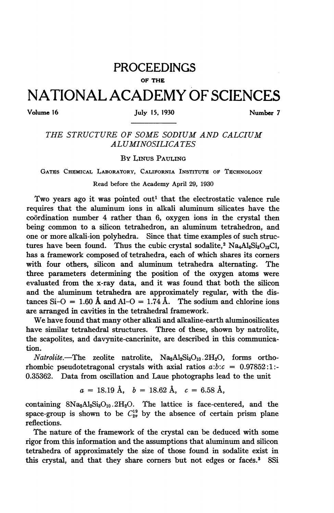# PROCEEDINGS

#### OF THE

# NATIONAL ACADEMY OF SCIENCES

## Volume 16 **July 15, 1930** Number 7

# THE STRUCTURE OF SOME SODIUM AND CALCIUM ALUMINOSILICA TES

### BY LINus PAULING

GATES CHEMICAL LABORATORY, CALIFORNIA INSTITUTE OF TECHNOLOGY

### Read before the Academy April 29, 1930

Two years ago it was pointed out<sup>1</sup> that the electrostatic valence rule requires that the aluminum ions in alkali aluminum silicates have the coordination number 4 rather than 6, oxygen ions in the crystal then being common to a silicon tetrahedron, an aluminum tetrahedron, and one or more alkali-ion polyhedra. Since that time examples of such structures have been found. Thus the cubic crystal sodalite,<sup>2</sup> Na<sub>4</sub>A1<sub>3</sub>S<sub>i3</sub>O<sub>12</sub>Cl, has a framework composed of tetrahedra, each of which shares its corners with four others, silicon and aluminum tetrahedra alternating. The three parameters determining the position of the oxygen atoms were evaluated from the x-ray data, and it was found that both the silicon and the aluminum tetrahedra are approximately regular, with the distances  $Si-O = 1.60 \text{ Å}$  and  $Al-O = 1.74 \text{ Å}$ . The sodium and chlorine ions are arranged in cavities in the tetrahedral framework.

We have found that many other alkali and alkaline-earth aluminosilicates have similar tetrahedral structures. Three of these, shown by natrolite, the scapolites, and davynite-cancrinite, are described in this communication.

 $Natrolite$ . The zeolite natrolite,  $Na<sub>2</sub>Al<sub>2</sub>Si<sub>3</sub>O<sub>10</sub>$ .  $2H<sub>2</sub>O$ , forms orthorhombic pseudotetragonal crystals with axial ratios  $a:b:c = 0.97852:1$ :-0.35362. Data from oscillation and Laue photographs lead to the unit

$$
a = 18.19 \text{ Å}, \quad b = 18.62 \text{ Å}, \quad c = 6.58 \text{ Å},
$$

containing  $8Na<sub>2</sub>Al<sub>2</sub>Si<sub>3</sub>O<sub>10</sub>$ . 2H<sub>2</sub>O. The lattice is face-centered, and the space-group is shown to be  $C_{2v}^{19}$  by the absence of certain prism plane reflections.

The nature of the framework of the crystal can be deduced with some rigor from this information and the assumptions that aluminum and silicon tetrahedra of approximately the size of those found in sodalite exist in this crystal, and that they share corners but not edges or faces.<sup>3</sup> 8Si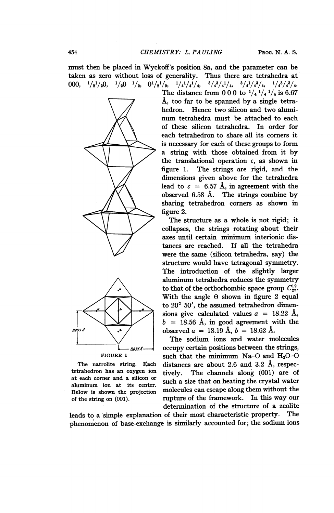must then be placed in Wyckoff's position 8a, and the parameter can be taken as zero without loss of generality. Thus there are tetrahedra at 000,  $\frac{1}{2}$   $\frac{1}{2}$   $\frac{1}{2}$   $\frac{1}{2}$   $\frac{1}{2}$   $\frac{1}{2}$   $\frac{1}{2}$   $\frac{1}{2}$   $\frac{1}{2}$   $\frac{1}{4}$   $\frac{1}{4}$   $\frac{1}{4}$   $\frac{1}{4}$   $\frac{1}{4}$   $\frac{1}{4}$   $\frac{1}{4}$   $\frac{1}{4}$   $\frac{1}{4}$   $\frac{1}{4}$   $\frac{1}{4}$   $\frac{1}{4}$   $\frac{1}{$ 



aluminum ion at its center.

The distance from 0 0 0 to  $\frac{1}{4}$   $\frac{1}{4}$   $\frac{1}{4}$  is 6.67 A, too far to be spanned by a single tetrahedron. Hence two silicon and two aluminum tetrahedra must be attached to each of these silicon tetrahedra. In order for each tetrahedron to share all its corners it is necessary for each of these groups to form a string with those obtained from it by the translational operation  $c$ , as shown in figure 1. The strings are rigid, and the dimensions given above for the tetrahedra lead to  $c = 6.57$  Å, in agreement with the observed  $6.58$  Å. The strings combine by sharing tetrahedron corners as shown in figure 2.

The structure as a whole is not rigid; it collapses, the strings rotating about their axes until certain minimum interionic distances are reached. If all the tetrahedra were the same (silicon tetrahedra, say) the structure would have tetragonal symmetry. The introduction of the slightly larger aluminum tetrahedra reduces the symmetry to that of the orthorhombic space group  $C_{2v}^{19}$ . With the angle  $\theta$  shown in figure 2 equal to  $20^{\circ}$  50', the assumed tetrahedron dimensions give calculated values  $a = 18.22$  Å,  $\begin{array}{c|c}\n & b = 18.56 \text{ Å}, \text{ in good agreement with the}\n\end{array}$ observed  $a = 18.19 \text{ Å}, b = 18.62 \text{ Å}.$ 

The sodium ions and water molecules <sup>L</sup> J6,Ys occupy certain positions between the strings, such that the minimum Na-O and  $H_2O-O$ The natrolite string. Each distances are about 2.6 and 3.2 A, respectetrahedron has an oxygen ion tively. The channels along (001) are of at each corner and a silicon or such a size that on heating the crystal water Below is shown the projection molecules can escape along them without the of the string on (001). Tupture of the framework. In this way our determination of the structure of a zeolite

leads to a simple explanation of their most characteristic property. The phenomenon of base-exchange is similarly accounted for; the sodium ions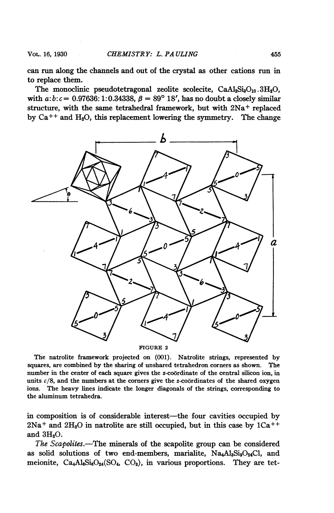can run along the channels and out of the crystal as other cations run in to replace them.

The monoclinic pseudotetragonal zeolite scolecite,  $CaAl<sub>2</sub>Si<sub>3</sub>O<sub>10</sub>$ .  $3H<sub>2</sub>O$ , with  $a:b:c = 0.97636:1:0.34338, \beta = 89^{\circ} 18'$ , has no doubt a closely similar structure, with the same tetrahedral framework, but with 2Na<sup>+</sup> replaced by  $Ca^{++}$  and  $H_2O$ , this replacement lowering the symmetry. The change



The natrolite framework projected on (001). Natrolite strings, represented by squares, are combined by the sharing of unshared tetrahedron corners as shown. The number in the center of each square gives the z-coordinate of the central silicon ion, in units  $c/8$ , and the numbers at the corners give the z-coordinates of the shared oxygen ions. The heavy lines indicate the longer diagonals of the strings, corresponding to the aluminum tetrahedra.

in composition is of considerable interest—the four cavities occupied by  $2Na<sup>+</sup>$  and  $2H<sub>2</sub>O$  in natrolite are still occupied, but in this case by  $1Ca<sup>++</sup>$ and  $3H<sub>2</sub>O$ .

The Scapolites.-The minerals of the scapolite group can be considered as solid solutions of two end-members, marialite,  $Na_4Al_3Si_9O_24Cl$ , and meionite,  $Ca<sub>4</sub>Al<sub>6</sub>Si<sub>6</sub>O<sub>24</sub>(SO<sub>4</sub>, CO<sub>3</sub>)$ , in various proportions. They are tet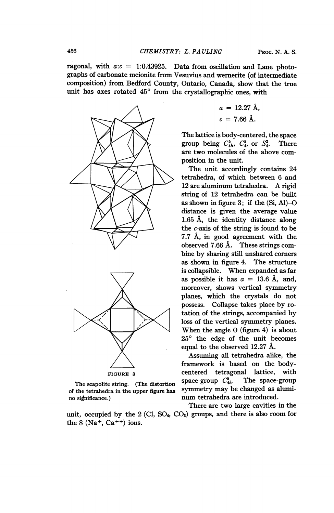ragonal, with  $a:c = 1:0.43925$ . Data from oscillation and Laue photographs of carbonate meionite from Vesuvius and wernerite (of intermediate composition) from Bedford County, Ontario, Canada, show that the true unit has axes rotated  $45^{\circ}$  from the crystallographic ones, with



of the tetrahedra in the upper figure has no significance.) num tetrahedra are introduced.

unit, occupied by the  $2$  (Cl, SO<sub>4</sub>, CO<sub>3</sub>) groups, and there is also room for the  $8$  (Na<sup>+</sup>, Ca<sup>++</sup>) ions.

$$
a = 12.27 \text{ Å},
$$

$$
c = 7.66 \text{ Å}.
$$

The lattice is body-centered, the space group being  $C_{4h}^5$ ,  $C_4^5$ , or  $S_4^2$ . There are two molecules of the above composition in the unit.

The unit accordingly contains 24 tetrahedra, of which between 6 and <sup>12</sup> are aluminum tetrahedra. A rigid string of 12 tetrahedra can be built as shown in figure  $3$ ; if the  $(Si, AI)$ -O distance is given the average value 1.65 A, the identity distance along the  $c$ -axis of the string is found to be 7.7 A, in good agreement with the observed 7.66 Å. These strings combine by sharing still unshared corners as shown in figure 4. The structure is collapsible. When expanded as far as possible it has  $a = 13.6$  Å, and, moreover, shows vertical symmetry planes, which the crystals do not possess. Collapse takes place by rotation of the strings, accompanied by loss of the vertical symmetry planes. When the angle  $\Theta$  (figure 4) is about  $25^{\circ}$  the edge of the unit becomes equal to the observed 12.27 A.

Assuming all tetrahedra alike, the framework is based on the body-FIGURE 3 centered tetragonal lattice, with<br>  $\frac{1}{2}$  centered tetragonal lattice, with The scapolite string. (The distortion space-group  $C_{4h}$ . The space-group<br>the tetrahedra in the upper figure has symmetry may be changed as alumi-

There are two large cavities in the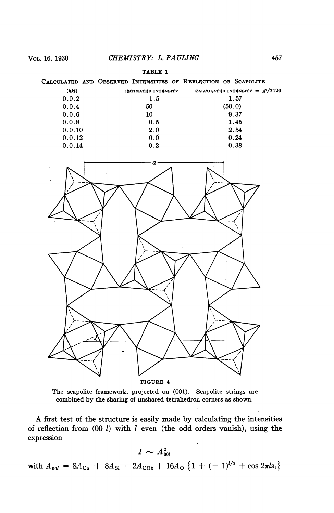| m a<br>\BL<br>щ.<br>$\cdots$ |  |
|------------------------------|--|
|------------------------------|--|

|        | CALCULATED AND OBSERVED INTENSITIES OF REFLECTION OF SCAPOLITE |                                   |
|--------|----------------------------------------------------------------|-----------------------------------|
| (hkl)  | <b>ESTIMATED INTENSITY</b>                                     | CALCULATED INTENSITY = $A^2/7120$ |
| 0.0.2  | 1.5                                                            | 1.57                              |
| 0.0.4  | 50                                                             | (50.0)                            |
| 0.0.6  | 10                                                             | 9.37                              |
| 0.0.8  | 0.5                                                            | 1.45                              |
| 0.0.10 | 2.0                                                            | 2.54                              |
| 0.0.12 | 0.0                                                            | 0.24                              |
| 0.0.14 | 0.2                                                            | 0.38                              |
|        |                                                                |                                   |



The scapolite framework, projected on (001). Scapolite strings are combined by the sharing of unshared tetrahedron corners as shown.

A first test of the structure is easily made by calculating the intensities of reflection from  $(00 \, l)$  with  $l$  even (the odd orders vanish), using the expression

$$
I \sim A_{\rm 00}^2
$$

with  $A_{00l} = 8A_{Ca} + 8A_{Si} + 2A_{Co3} + 16A_0 \{1 + (-1)^{l/2} + \cos 2\pi l z_1\}$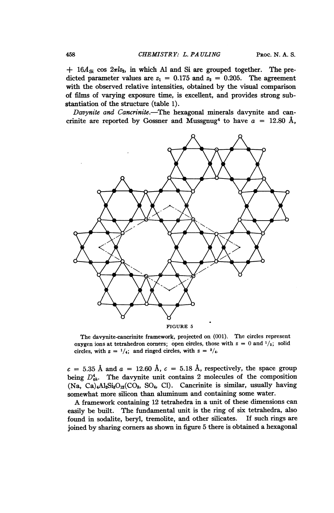$+$  16 $A_{\rm Si}$  cos  $2\pi l z_2$ , in which Al and Si are grouped together. The predicted parameter values are  $z_1 = 0.175$  and  $z_2 = 0.205$ . The agreement with the observed relative intensities, obtained by the visual comparison of films of varying exposure time, is excellent, and provides strong substantiation of the structure (table 1).

Davynite and Cancrinite.-The hexagonal minerals davynite and cancrinite are reported by Gossner and Mussgnug<sup>4</sup> to have  $a = 12.80 \text{ Å}$ ,



FIGURE <sup>5</sup>

The davynite-cancrinite framework, projected on (001). The circles represent oxygen ions at tetrahedron corners; open circles, those with  $z = 0$  and  $\frac{1}{2}$ ; solid circles, with  $z = \frac{1}{4}$ ; and ringed circles, with  $z = \frac{3}{4}$ .

 $c = 5.35$  Å and  $a = 12.60$  Å,  $c = 5.18$  Å, respectively, the space group being  $D_{\text{th}}^4$ . The davynite unit contains 2 molecules of the composition  $(Na, Ca)<sub>4</sub>Al<sub>2</sub>Si<sub>3</sub>O<sub>12</sub>(CO<sub>3</sub>, SO<sub>4</sub>, Cl).$  Cancrinite is similar, usually having somewhat more silicon than aluminum and containing some water.

A framework containing <sup>12</sup> tetrahedra in <sup>a</sup> unit of these dimensions can easily be built. The fundamental unit is the ring of six tetrahedra, also found in sodalite, beryl, tremolite, and other silicates. If such rings are joined by sharing corners as shown in figure 5 there is obtained a hexagonal